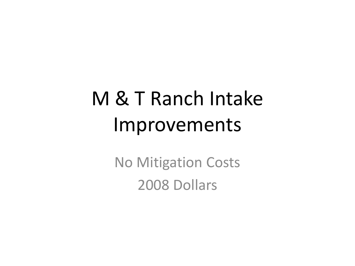# M & T Ranch Intake Improvements

No Mitigation Costs 2008 Dollars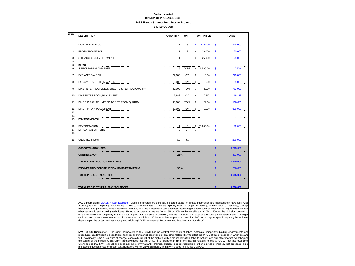# **Ducks Unlimited OPINION OF PROBABLE COST M&T Ranch / Llano Seco Intake Project**

**9-Dike Option**

| <b>ITEM</b>                  | <b>DESCRIPTION</b>                              | QUANTITY | <b>UNIT</b> | <b>UNIT PRICE</b>       | <b>TOTAL</b>                         |
|------------------------------|-------------------------------------------------|----------|-------------|-------------------------|--------------------------------------|
| $\mathbf{1}$                 | MOBILIZATION - GC                               |          | LS          | $\mathsf{s}$<br>225,000 | 225,000<br>\$                        |
| $\overline{2}$               | <b>EROSION CONTROL</b>                          |          | LS          | \$<br>20,000            | 20,000<br>\$.                        |
| 3<br>$\overline{\mathbf{4}}$ | SITE ACCESS DEVELOPMENT                         |          | LS          | \$<br>25,000            | 25,000<br>\$                         |
| 5<br>6                       | <b>DIKES</b><br>SITE CLEARING AND PREP          |          | <b>ACRE</b> | \$.<br>1,500.00         | 7,500<br>\$                          |
| $\overline{7}$               | <b>EXCAVATION-SOIL</b>                          | 27,000   | CY          | \$<br>10.00             | 270,000<br>\$                        |
| 8                            | EXCAVATION- SOIL, IN-WATER                      | 5,000    | CY          | \$.<br>19.00            | \$<br>95,000                         |
| 9                            | DIKE FILTER ROCK, DELIVERED TO SITE FROM QUARRY | 27,000   | <b>TON</b>  | S<br>29.00              | 783,000<br>\$                        |
| 10                           | DIKE FILTER ROCK, PLACEMENT                     | 15,882   | CY          | \$<br>7.50              | 119,118<br>\$                        |
| 11                           | DIKE RIP RAP, DELIVERED TO SITE FROM QUARRY     | 40,000   | <b>TON</b>  | \$<br>29.00             | \$<br>1,160,000                      |
| 12<br>13                     | DIKE RIP RAP, PLACEMENT                         | 20,000   | CY          | \$<br>16.00             | 320,000<br>\$                        |
| 14<br>15                     | <b>ENVIRONMENTAL</b>                            |          |             |                         |                                      |
| 16<br>17<br>18               | <b>REVEGETATION</b><br>MITIGATION, OFF SITE     |          | .LS.<br>LF  | \$.20,000.00<br>S       | 20,000<br>\$.                        |
| 19                           | UNLISTED ITEMS                                  | 10       | PCT         |                         | \$<br>280,000                        |
|                              | <b>SUBTOTAL (ROUNDED)</b>                       |          |             |                         | \$<br>3,325,000                      |
|                              | <b>CONTINGENCY</b>                              | $25\%$   |             |                         | $\overline{\mathbb{S}}$<br>831,000   |
|                              | <b>TOTAL CONSTRUCTION YEAR 2008</b>             |          |             |                         | 3,605,000                            |
|                              | <b>ENGINEERING/CONSTRUCTION MGMT/PERMITTING</b> | $30\%$   |             |                         | $\overline{\mathbb{S}}$<br>1,080,000 |
|                              | TOTAL PROJECT YEAR 2008                         |          |             |                         | \$<br>4,685,000                      |
|                              |                                                 |          |             |                         |                                      |
|                              | TOTAL PROJECT YEAR 2008 (ROUNDED)               |          |             |                         | 4,700,000                            |

AACE International CLASS 4 Cost Estimate - Class 4 estimates are generally prepared based on limited information and subsequently have fairly wide accuracy ranges. Typically, engineering is 10% to 40% complete. They are typically used for project screening, determination of feasibility, concept evaluation, and preliminary budget approval. Virtually all Class 4 estimates use stochastic estimating methods such as cost curves, capacity factors, and other parametric and modeling techniques. Expected accuracy ranges are from -15% to -30% on the low side and +20% to 50% on the high side, depending on the technological complexity of the project, appropriate reference information, and the inclusion of an appropriate contingency determination. Ranges could exceed those shown in unusual circumstances. As little as 20 hours or less to perhaps more than 300 hours may be spend preparing the estimate depending on the project and estimating methodology (AACE International Recommended Practices and Standards).

**MWH OPCC Disclaimer** - The client acknowledges that MWH has no control over costs of labor, materials, competitive bidding environments and procedures, unidentified field conditions, financial and/or market conditions, or any other factors likely to affect the OPCC of this project, all of which are and will unavoidably remain in a state of change, especially in light of the high volatility if the market attributable to Act of Gods and other market event beyond the control of the parties. Client further acknowledges that this OPCC is a "snapshot in time" and that the reliability of this OPCC will degrade over time. Client agrees that MWH cannot and does not make any warranty, promise, guarantee or representation, either express or implied. that proposals, bids, project construction costs, or cost of O&M functions will not vary significantly from MWH's good faith Class 2 OPCC.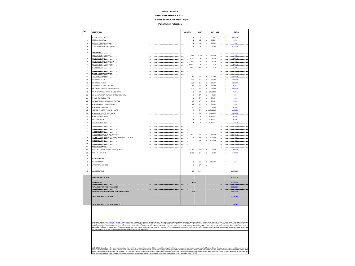### **Ducks Unlimited OPINION OF PROBABLE COST**

## **M&T Ranch / Llano Seco Intake Project**

### **Pump Station Relocation**

| <b>TEM</b>              | <b>DESCRIPTION</b>                                                                                                                                                                                                                   | QUANTITY                                                                 | UNIT                                 | <b>UNIT PRICE</b>                                                                                  | <b>TOTAL</b>                  |
|-------------------------|--------------------------------------------------------------------------------------------------------------------------------------------------------------------------------------------------------------------------------------|--------------------------------------------------------------------------|--------------------------------------|----------------------------------------------------------------------------------------------------|-------------------------------|
| f.                      |                                                                                                                                                                                                                                      |                                                                          | 15                                   | $$.475,000$                                                                                        | \$1, 475,000                  |
| $\overline{2}$          |                                                                                                                                                                                                                                      |                                                                          | $\ldots$ LS $\ldots$                 | \$ 20,000                                                                                          | $s$ 20,000                    |
| $\overline{\mathbf{3}}$ |                                                                                                                                                                                                                                      |                                                                          | $\ldots$ $LS$                        | $$.25,000$                                                                                         | 5.25,000                      |
| $\overline{\mathbf{4}}$ |                                                                                                                                                                                                                                      |                                                                          | $\ldots$ $\mu$ S.                    | $$.800,000$                                                                                        | $s$ 800,000                   |
| 5                       |                                                                                                                                                                                                                                      |                                                                          | .                                    | .                                                                                                  | .1.                           |
| Ŕ.                      |                                                                                                                                                                                                                                      |                                                                          |                                      |                                                                                                    | <u>.</u>                      |
| $\overline{z}$          |                                                                                                                                                                                                                                      | .10.                                                                     | ACRE                                 | \$1,500.00                                                                                         |                               |
| $\mathbf{a}$            |                                                                                                                                                                                                                                      | $\ldots$ . 74,300 $\ldots$ CY                                            |                                      | \$10.00                                                                                            | $5 - 743,000$                 |
| $\alpha$                |                                                                                                                                                                                                                                      | .540                                                                     | $\ldots$ cy $\ldots$                 | \$25.90                                                                                            |                               |
| 10                      |                                                                                                                                                                                                                                      |                                                                          |                                      | $\ldots$ 69,000 $\ldots$ CY $\ldots$ \$ $\ldots$ 5.00 $\ldots$                                     | $s$ 345,000                   |
| 11                      |                                                                                                                                                                                                                                      | $\ldots \ldots 11,000$                                                   | $\ldots$ SF $\ldots$                 | $$$ $5,00$                                                                                         | $s$ 55,000                    |
| 12                      |                                                                                                                                                                                                                                      |                                                                          |                                      |                                                                                                    |                               |
| 13                      |                                                                                                                                                                                                                                      |                                                                          |                                      |                                                                                                    |                               |
| 14                      |                                                                                                                                                                                                                                      | 480                                                                      | $\ldots$ SF $\ldots$                 | \$1, 250.00                                                                                        | $s_{1}$ 120,000               |
| 15                      |                                                                                                                                                                                                                                      |                                                                          |                                      | $\ldots$ 270 $\ldots$ 270 $\ldots$ 28 $\ldots$ 8 $\ldots$ 600.00 $\ldots$                          | 5.162.000                     |
| 16                      | CONCRETE, WALLS <b>And All Account and Account and Account and Account and Account and Account and Account and Account and Account and Account and Account and Account and Account and Account and Account and Account and Accou</b> | .31                                                                      | C(Y)                                 | \$. 900.00                                                                                         | \$280,800                     |
| 17                      |                                                                                                                                                                                                                                      |                                                                          |                                      | $.94$ CY $.1000.00$                                                                                |                               |
| 18                      |                                                                                                                                                                                                                                      |                                                                          |                                      | $\ldots$ , $\frac{345}{1}$ , $\ldots$ $\frac{1}{5}$ , $\ldots$ $\frac{1}{5}$ , $\frac{90000}{1}$ , | $s$ 310.500                   |
| 19                      |                                                                                                                                                                                                                                      |                                                                          | $\ldots$ EA $\ldots$                 | $$.25,000.00$                                                                                      | \$ 25,000                     |
| 20                      |                                                                                                                                                                                                                                      |                                                                          |                                      | $40$ $SF$ $S = 30.00$                                                                              | 5.1200                        |
| 21                      |                                                                                                                                                                                                                                      |                                                                          | $\ldots$ EA $\ldots$                 | $s_{1}$ , 6,000.00,                                                                                | $s_{1}, \ldots, s_{000}$      |
| 22                      | 120*-DIA REINFORCED CONCRETE PIPE                                                                                                                                                                                                    |                                                                          |                                      |                                                                                                    | $s$ 45,000                    |
| 23                      |                                                                                                                                                                                                                                      |                                                                          |                                      | $22$ $LF$ $\frac{1}{5}$ 500.00                                                                     | $5 - 11,000$                  |
| 24                      |                                                                                                                                                                                                                                      |                                                                          | $90$ $45$                            | $s$ 650.00                                                                                         | $S$ 58,500                    |
| 26                      |                                                                                                                                                                                                                                      |                                                                          |                                      | $\ldots \ldots \ldots 3 \ldots 5$ . $\ldots$ $\frac{1}{2}$ . 200,000.00                            | $s = 600,000$                 |
| 26<br>27                |                                                                                                                                                                                                                                      |                                                                          | $\ldots$ EA $\ldots$                 | \$.40,000,00                                                                                       |                               |
| 28                      |                                                                                                                                                                                                                                      |                                                                          |                                      | $\left[ \ldots E_{\rm A} \ldots \right]$ \$. 20.000.00                                             | $s$ 60,000                    |
| 29                      |                                                                                                                                                                                                                                      |                                                                          | $\ldots$ , $\mu$ 8.                  | \$.65,000,00                                                                                       | 5. 65,000.                    |
| 30                      |                                                                                                                                                                                                                                      |                                                                          | $\ldots$ $\mu$ S<br>.                | \$.100,000,00<br>.                                                                                 | $s$ 100,000<br>.              |
| 31                      |                                                                                                                                                                                                                                      |                                                                          |                                      |                                                                                                    |                               |
| 32                      |                                                                                                                                                                                                                                      |                                                                          |                                      | .                                                                                                  |                               |
| 33                      |                                                                                                                                                                                                                                      | $\ldots$ , $\ldots$ , $\frac{3,600}{1}, \ldots$ , $\text{LE}$ , $\ldots$ |                                      | $$.700.00$                                                                                         | $s$ 2,520,000                 |
| 34                      |                                                                                                                                                                                                                                      |                                                                          | $\ldots$ $EA$ $\ldots$               | $\frac{1}{2}$ , 8,000.00                                                                           | $s$ $8,000$                   |
| 35                      |                                                                                                                                                                                                                                      | the contract of the contract of                                          | $\ldots$ EA $\ldots$                 | $$1, 2,000,00, \ldots$                                                                             | $\mathsf{S}$ 4,000            |
| 36                      | <b>Contract Contract</b>                                                                                                                                                                                                             |                                                                          |                                      |                                                                                                    | <b>Contract Contract</b>      |
| $\overline{37}$         |                                                                                                                                                                                                                                      | .                                                                        | .                                    |                                                                                                    | .                             |
| 38                      |                                                                                                                                                                                                                                      | 1.1.1.144001.1700                                                        |                                      | \$ 29.00                                                                                           | $s$ 417,600                   |
| 39                      |                                                                                                                                                                                                                                      | 9,000  CY                                                                |                                      | \$16.00                                                                                            | $S = 144,000$                 |
| 40                      | the contract of the contract of the contract of the contract of the contract of the contract of the contract of                                                                                                                      |                                                                          |                                      |                                                                                                    |                               |
| 41                      |                                                                                                                                                                                                                                      |                                                                          |                                      |                                                                                                    |                               |
| 42                      |                                                                                                                                                                                                                                      |                                                                          | $\left[\ldots, \mu s, \ldots\right]$ | \$.5, 150.00                                                                                       | $S = 6.1$                     |
| 43                      |                                                                                                                                                                                                                                      |                                                                          | . <i>. .</i>                         | $\mathsf{s}$                                                                                       | $\mathbf{s}$ and $\mathbf{s}$ |
| 44                      |                                                                                                                                                                                                                                      |                                                                          | <b>Contract Contract Contract</b>    |                                                                                                    |                               |
| 46                      |                                                                                                                                                                                                                                      | . <i>15 PCT</i>                                                          |                                      |                                                                                                    | $S_1$ 1.080.000               |
|                         |                                                                                                                                                                                                                                      |                                                                          |                                      |                                                                                                    |                               |
|                         | <b>SUBTOTAL (ROUNDED)</b><br>.                                                                                                                                                                                                       |                                                                          |                                      |                                                                                                    | 8.730.000                     |
|                         | CONTINGENCY                                                                                                                                                                                                                          | 25                                                                       |                                      |                                                                                                    | 2.183,000                     |
|                         |                                                                                                                                                                                                                                      |                                                                          |                                      |                                                                                                    |                               |
|                         | OTAL CONSTRUCTION YEAR 2008                                                                                                                                                                                                          |                                                                          |                                      |                                                                                                    | 9.810.000                     |
|                         | INGINEERING/CONSTRUCTION MGMT/PERMITTING                                                                                                                                                                                             | 30 <sub>2</sub>                                                          |                                      |                                                                                                    | 2.940.000                     |
|                         |                                                                                                                                                                                                                                      |                                                                          |                                      |                                                                                                    |                               |
|                         | TOTAL PROJECT YEAR 2008                                                                                                                                                                                                              |                                                                          |                                      |                                                                                                    | 12.750.000                    |
|                         |                                                                                                                                                                                                                                      |                                                                          |                                      |                                                                                                    |                               |
|                         | TOTAL PROJECT YEAR 2008 (ROUNDED)                                                                                                                                                                                                    |                                                                          |                                      |                                                                                                    |                               |
|                         |                                                                                                                                                                                                                                      |                                                                          |                                      |                                                                                                    |                               |
|                         |                                                                                                                                                                                                                                      |                                                                          |                                      |                                                                                                    |                               |
|                         |                                                                                                                                                                                                                                      |                                                                          |                                      |                                                                                                    |                               |
|                         |                                                                                                                                                                                                                                      |                                                                          |                                      |                                                                                                    |                               |

NAC international CASA Econ Essama Substitute and present international community of the company international community of the company of the company of the company international company international company internationa

MWN OPCD Obscherer - The client achousedge that MWH has no control over costs in such as the controller person of the client of the controller and procedure. understanding, in any other states and other man of the controll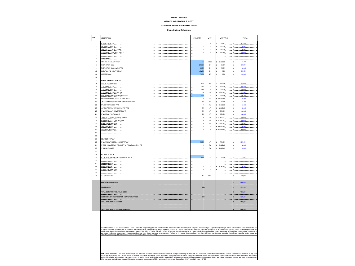### **Ducks Unlimited**

### **OPINION OF PROBABLE COST**

### **M&T Ranch / Llano Seco Intake Project**

**Pump Station Relocation**

| <b>TEM</b>                       | <b>DESCRIPTION</b>                                                                                                                                                                                                                                                                                                                                                                                                                                                  | QUANTITY                 | UNIT                                                   | <b>UNIT PRICE</b>              | <b>TOTAL</b>                            |
|----------------------------------|---------------------------------------------------------------------------------------------------------------------------------------------------------------------------------------------------------------------------------------------------------------------------------------------------------------------------------------------------------------------------------------------------------------------------------------------------------------------|--------------------------|--------------------------------------------------------|--------------------------------|-----------------------------------------|
| $\overline{1}$<br>$\overline{2}$ | <b>MOBILIZATION - GC</b><br>FROSION CONTROL                                                                                                                                                                                                                                                                                                                                                                                                                         |                          | .<br>15                                                | $$ 475,000$<br>\$20,000        | $$ \dots 475,000$<br>$\frac{1}{20,000}$ |
| 3                                | SITE ACCESS DEVELOPMENT.                                                                                                                                                                                                                                                                                                                                                                                                                                            |                          | $LS$                                                   | $S = 25,000$                   | 25,000<br>s.                            |
| 4                                | COFFERDAM AND DEWATERING                                                                                                                                                                                                                                                                                                                                                                                                                                            |                          | LS .                                                   | $s_{}$ 800.000 $$              | . 800,000<br>s.                         |
| 6                                |                                                                                                                                                                                                                                                                                                                                                                                                                                                                     |                          |                                                        |                                |                                         |
| 6                                | EARTHWORK                                                                                                                                                                                                                                                                                                                                                                                                                                                           |                          |                                                        |                                |                                         |
| 7                                | SITE CLEARING AND PREP                                                                                                                                                                                                                                                                                                                                                                                                                                              | $\ldots$ . 7.5           | $\ldots$ ACRE $\ldots$                                 | \$.1,500.00.                   | s                                       |
| 8                                | EXCAVATION-SOIL                                                                                                                                                                                                                                                                                                                                                                                                                                                     | 52,300                   | CY <sub>2</sub>                                        | \$ 10.00                       | $S = 523,000$                           |
| $\overline{9}$                   | EXCAVATION SOIL IN WATER                                                                                                                                                                                                                                                                                                                                                                                                                                            | 1,600                    | $\ldots$ CY $\ldots$                                   | ls <i>. 25.00.</i>             | $$ \dots 40,000$                        |
| 10                               | BACKFILL AND COMPACTION                                                                                                                                                                                                                                                                                                                                                                                                                                             | 48,100                   | $\ldots$ . $CY$                                        | $\frac{1}{2}$ 5.00             | 5.240,500                               |
| 11                               | ACCESS ROAD                                                                                                                                                                                                                                                                                                                                                                                                                                                         | 7,000                    | SF <sub>1</sub>                                        | $\S 500$                       | \$35,00                                 |
| 12                               | $\cdots$                                                                                                                                                                                                                                                                                                                                                                                                                                                            |                          |                                                        |                                |                                         |
| 13<br>14                         | INTAKE AND PUMP STATION<br>FISH SCREEN PANELS                                                                                                                                                                                                                                                                                                                                                                                                                       | 480                      |                                                        | \$.250.00.                     | 120.00<br>s.                            |
| 16                               | CONCRETE SLAB                                                                                                                                                                                                                                                                                                                                                                                                                                                       | 270                      | CY                                                     | $s - 600.00$                   | 162.00<br>s                             |
| 16                               | CONCRETE, WALLS                                                                                                                                                                                                                                                                                                                                                                                                                                                     | 3/2                      |                                                        | s90000                         | 289.800<br>s.                           |
| 17                               | CONCRETE, ELEVATED SLAB                                                                                                                                                                                                                                                                                                                                                                                                                                             |                          |                                                        | \$.1,000.00                    | 94,00<br>\$                             |
| 18                               | 72" DIA REINFORCED CONCRETE PIPE                                                                                                                                                                                                                                                                                                                                                                                                                                    |                          |                                                        | \$. 900.00                     | \$225,00                                |
| 19                               | 72"x72" STAINLESS STEEL SLUICE GATE                                                                                                                                                                                                                                                                                                                                                                                                                                 |                          | . <b>EA</b>                                            | s.25.000.00                    | \$3.25,000                              |
| $20\,$                           | 1/4" ALUMINUM GRATING ON GATE STRUCTURE                                                                                                                                                                                                                                                                                                                                                                                                                             | 40                       | SF <sub>1</sub>                                        | $s \ldots 30.00 \ldots \ldots$ | $S_1, \ldots, S_n$ 1,200                |
| 21                               | 72"-120" EXPANSION PIPE                                                                                                                                                                                                                                                                                                                                                                                                                                             |                          | $E_A$                                                  | $s_{6,000,00,,}$               | \$3.000                                 |
| 22                               | 120"-DIA REINFORCED CONCRETE PIPE                                                                                                                                                                                                                                                                                                                                                                                                                                   |                          | . <b>LF</b> .                                          | $s = 1.500.00$                 | \$ 45,000.                              |
| 23                               | 48'-DIA PRECAST CONCRETE PIPE                                                                                                                                                                                                                                                                                                                                                                                                                                       |                          | LF                                                     | $s$ 500.00                     | 5.11,000.                               |
| $^{24}$                          | 54"-DIA RCP PUMP BARREL                                                                                                                                                                                                                                                                                                                                                                                                                                             | $\alpha$                 | LF -                                                   | $s = 650.00$                   | \$58,500                                |
| 25                               | 1-STAGE.VS VERT. TURBINE PUMPS.                                                                                                                                                                                                                                                                                                                                                                                                                                     |                          | EA                                                     | $s$ 200,000.00                 | $s_{1}, \ldots, so 0, 000$              |
| 26<br>27                         | 30" DOUBLE LEAF CHECK VALVE                                                                                                                                                                                                                                                                                                                                                                                                                                         |                          | $EA$                                                   | $$.40,000.00$                  | $$3$ 120,000                            |
| 28                               | 30" BUTTERFLY VALVE                                                                                                                                                                                                                                                                                                                                                                                                                                                 |                          | $EA$ <sub></sub>                                       | \$.20,000.00                   | \$3.0000                                |
| 29                               | SITE ELECTRICAL<br>EXTERIOR BUILDING                                                                                                                                                                                                                                                                                                                                                                                                                                |                          | $\ldots$ LS. $\ldots$<br>$\ldots$ $\downarrow$ $\circ$ | \$.65,000.00<br>\$100.000.00   | \$ 65,000<br>\$1000                     |
| 30                               |                                                                                                                                                                                                                                                                                                                                                                                                                                                                     |                          |                                                        |                                |                                         |
| 31                               |                                                                                                                                                                                                                                                                                                                                                                                                                                                                     |                          |                                                        |                                |                                         |
| 32                               | CONNECTION PIPE                                                                                                                                                                                                                                                                                                                                                                                                                                                     |                          |                                                        |                                |                                         |
| 33                               | 72" DIA REINFORCED CONCRETE PIPE                                                                                                                                                                                                                                                                                                                                                                                                                                    | 2,200                    |                                                        | \$700.00                       | 1,540,00<br>s.                          |
| 34                               | 72" TEE CONNECTION TO EXISTING TRANSMISSION PIPE                                                                                                                                                                                                                                                                                                                                                                                                                    |                          |                                                        | \$.8,000.00                    | 8.00<br>s.                              |
| 35                               | 72" BLIND FLANGE                                                                                                                                                                                                                                                                                                                                                                                                                                                    |                          |                                                        | \$2.000.00                     |                                         |
| 36                               |                                                                                                                                                                                                                                                                                                                                                                                                                                                                     |                          |                                                        |                                |                                         |
| 37                               | <b>ROCK REVETMENT</b>                                                                                                                                                                                                                                                                                                                                                                                                                                               |                          |                                                        |                                |                                         |
| 38                               | ROCK REMOVAL OF EXISTING REVETMEN                                                                                                                                                                                                                                                                                                                                                                                                                                   |                          |                                                        |                                |                                         |
| 39<br>40                         | <b>ENVIRONMENTAL</b>                                                                                                                                                                                                                                                                                                                                                                                                                                                |                          |                                                        |                                |                                         |
| 41                               |                                                                                                                                                                                                                                                                                                                                                                                                                                                                     |                          |                                                        |                                |                                         |
| 42                               | REVEGETATION<br>MITIGATION, OFF SITE                                                                                                                                                                                                                                                                                                                                                                                                                                |                          |                                                        |                                |                                         |
| 43                               |                                                                                                                                                                                                                                                                                                                                                                                                                                                                     |                          |                                                        |                                |                                         |
| 44                               | <b>INLISTED ITEMS</b>                                                                                                                                                                                                                                                                                                                                                                                                                                               | .15                      |                                                        |                                | 780,000                                 |
|                                  |                                                                                                                                                                                                                                                                                                                                                                                                                                                                     |                          |                                                        |                                |                                         |
|                                  | <b>SUBTOTAL (ROUNDED)</b>                                                                                                                                                                                                                                                                                                                                                                                                                                           |                          |                                                        |                                | 6.488,000                               |
|                                  | CONTINGENCY                                                                                                                                                                                                                                                                                                                                                                                                                                                         | 25                       |                                                        |                                | .<br>1.622.000                          |
|                                  | .                                                                                                                                                                                                                                                                                                                                                                                                                                                                   |                          |                                                        |                                | .                                       |
|                                  | <b>FOTAL CONSTRUCTION YEAR 2008</b>                                                                                                                                                                                                                                                                                                                                                                                                                                 |                          |                                                        |                                | 7.268.000                               |
|                                  | INGINEERING/CONSTRUCTION MGMT/PERMITTING                                                                                                                                                                                                                                                                                                                                                                                                                            | $\overline{\mathcal{U}}$ |                                                        |                                | .<br>2.180.000                          |
|                                  |                                                                                                                                                                                                                                                                                                                                                                                                                                                                     |                          |                                                        |                                | .                                       |
|                                  | <b>TOTAL PROJECT YEAR 2008</b>                                                                                                                                                                                                                                                                                                                                                                                                                                      |                          |                                                        |                                | 9,448,000                               |
|                                  |                                                                                                                                                                                                                                                                                                                                                                                                                                                                     |                          |                                                        |                                |                                         |
|                                  | TOTAL PROJECT YEAR 2008 (ROUNDED)                                                                                                                                                                                                                                                                                                                                                                                                                                   |                          |                                                        |                                |                                         |
|                                  |                                                                                                                                                                                                                                                                                                                                                                                                                                                                     |                          |                                                        |                                |                                         |
|                                  | AACE International CLASS 4 Cost Estimate - Class 4 estimates are generally prepared based on limited information and subsequently have fairly wide accuracy ranges. Typically, engineering is 10% to 40% complete. They are ty<br>.<br>In project screening desministom (social except exiusism, and preminismy budget and the secure of the secure of the second secure in the second memorial screening memorial screening memorial screening in the industor and |                          |                                                        |                                |                                         |
|                                  | ppropriate contingency determination. Ranges could exceed those shown in unusual circumstances. As little as 20 hours or less to perhaps more than 300 hours may be spend preparing the estimate depending on the project an<br>(AACE International Per<br>ommented Dractices and Standards)                                                                                                                                                                        |                          |                                                        |                                |                                         |
|                                  |                                                                                                                                                                                                                                                                                                                                                                                                                                                                     |                          |                                                        |                                |                                         |
|                                  |                                                                                                                                                                                                                                                                                                                                                                                                                                                                     |                          |                                                        |                                |                                         |
|                                  |                                                                                                                                                                                                                                                                                                                                                                                                                                                                     |                          |                                                        |                                |                                         |
|                                  |                                                                                                                                                                                                                                                                                                                                                                                                                                                                     |                          |                                                        |                                |                                         |
|                                  |                                                                                                                                                                                                                                                                                                                                                                                                                                                                     |                          |                                                        |                                |                                         |
|                                  | WWH OPCC Disclaimer - The client acknowledges that MWH has no control over costs of labor, materials, competitive bidding environments and procedures, unidentified field conditions, financial and/or market conditions, or a                                                                                                                                                                                                                                      |                          |                                                        |                                |                                         |

MWN OPCD Obscherer - The client acknowledge that WIM has no control over costs about the members and previous material and the controller shall provide the controller shall provide the controller shall provide the controll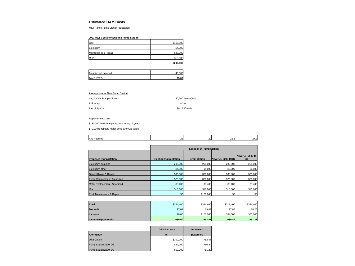### **Estimated O&M Costs**

M&T Ranch Pump Station Relocation

# **2007 M&T Costs for Existing Pump Station**

| Gas                  | \$165,000 |
|----------------------|-----------|
| Electricity          | \$4,000   |
| Maintenance & Repair | \$27,000  |
| Misc                 | \$10,000  |
|                      |           |

**\$206,000**

| Total Acre-ft pumped |  |
|----------------------|--|
| \$/A-F (2007)        |  |

### Assumptions for New Pump Station

| Avg Annual Pumped Flow  | 40.500 Acre-ft/vear |
|-------------------------|---------------------|
| Efficiency              | 80%                 |
| <b>Electricity Cost</b> | \$0.18 \$/kW-hr     |

### Replacement Costs

\$130,000 to replace pump once every 15 years

\$70,000 to replace motor once every 25 years

| lAva He<br>,,,,<br>_ |  | $\sim$<br>.<br>. س. س |  |
|----------------------|--|-----------------------|--|
|                      |  |                       |  |

|                                   | <b>Location of Pump Station</b> |                     |                     |                               |  |  |  |
|-----------------------------------|---------------------------------|---------------------|---------------------|-------------------------------|--|--|--|
| <b>Proposed Pump Station</b>      | <b>Existing Pump Station</b>    | <b>Groin Option</b> | New P.S. 2200-ft DS | New P.S. 3600-ft<br><b>DS</b> |  |  |  |
| Electricity, pumping              | 206,000                         | 206,000             | 238,000             | 254,000                       |  |  |  |
| Electricity, other                | \$4,000                         | \$4,000             | \$6,000             | \$6,000                       |  |  |  |
| <b>General Maint &amp; Repair</b> | \$30,000                        | \$30,000            | \$30,000            | \$30,000                      |  |  |  |
| Pump Replacement, Amortized       | \$26,000                        | \$26,000            | \$26,000            | \$26,000                      |  |  |  |
| Motor Replacement, Amortized      | \$8,400                         | \$8,400             | \$8,400             | \$8,400                       |  |  |  |
| Misc                              | \$10,000                        | \$10,000            | \$10,000            | \$10,000                      |  |  |  |
| Rock Maintenance & Repair         | \$0                             | \$100,000           | \$0                 | \$0                           |  |  |  |

| Total                  | \$284.400 | \$384.400 | \$318,400 | \$334,400 |
|------------------------|-----------|-----------|-----------|-----------|
| \$/Acre-ft             | \$7.02    | \$9.49    | \$7.86    | \$8.26    |
| Increase               | \$0.00    | \$100,000 | \$34,000  | \$50,000  |
| Increment (\$/Acre-Ft) | $+$0.00$  | $+ $2.47$ | $+ $0.84$ | $+ $1.23$ |

|                       | <b>O&amp;M Increase</b> | Increment    |
|-----------------------|-------------------------|--------------|
| <b>Alternative</b>    | (S)                     | (\$/Acre-Ft) |
| Dike Option           | \$100,000               | $+ $2.47$    |
| Pump Station 3600' DS | \$34,000                | $+ $0.84$    |
| Pump Station 2200' DS | \$50,000                | $+ $1.23$    |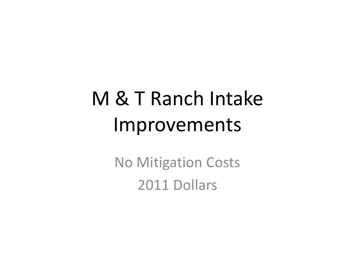# M & T Ranch Intake Improvements

No Mitigation Costs 2011 Dollars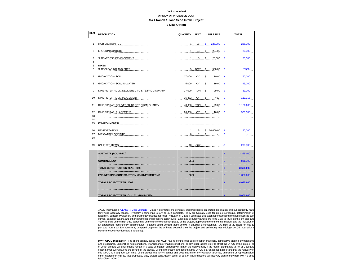# **Ducks Unlimited OPINION OF PROBABLE COST**

## **M&T Ranch / Llano Seco Intake Project**

**9-Dike Option**

| <b>ITEM</b>    | <b>DESCRIPTION</b>                              | QUANTITY     | <b>UNIT</b>   | <b>UNIT PRICE</b>       | <b>TOTAL</b>                         |  |
|----------------|-------------------------------------------------|--------------|---------------|-------------------------|--------------------------------------|--|
| $\mathbf{1}$   | MOBILIZATION - GC                               |              | LS            | \$ 225,000              | $\vert$ \$<br>225,000                |  |
| $\overline{2}$ | <b>EROSION CONTROL</b>                          | $\mathbf{1}$ | L             | $\mathsf{\$}$<br>20,000 | S.<br>20,000                         |  |
| 3              | SITE ACCESS DEVELOPMENT                         |              | LS            | l\$.<br>25,000          | $\sqrt{3}$<br>25,000                 |  |
| 4<br>5         | <b>DIKES</b>                                    |              |               |                         |                                      |  |
| 6              | SITE CLEARING AND PREP                          |              | 5 ACRE        | \$ 1,500.00             | $\mathbf s$<br>7,500                 |  |
| $\overline{7}$ | <b>EXCAVATION-SOIL</b>                          |              | 27,000 CY     | \$10.00                 | $\mathsf{s}$<br>270,000              |  |
| 8              | EXCAVATION- SOIL, IN-WATER                      | 5,000        | <b>CY</b>     | $\mathsf{\$}$<br>19.00  | $\vert$ \$<br>95,000                 |  |
| 9              | DIKE FILTER ROCK, DELIVERED TO SITE FROM QUARRY | 27,000       | <b>TON</b>    | \$ 29.00                | $\vert s \vert$<br>783,000           |  |
| 10             | DIKE FILTER ROCK, PLACEMENT                     | 15,882       | CY            | $$\mathbb{S}$$<br>7.50  | <b>S</b><br>119,118                  |  |
| 11             | DIKE RIP RAP, DELIVERED TO SITE FROM QUARRY     | 40,000       | <b>TON</b>    | $\frac{1}{2}$<br>29.00  | $\vert$ \$<br>1,160,000              |  |
| 12<br>13       | DIKE RIP RAP, PLACEMENT                         | 20,000       | <b>CY</b>     | \$ 16.00                | $\sqrt{s}$<br>320,000                |  |
| 14<br>15       | <b>ENVIRONMENTAL</b>                            |              |               |                         |                                      |  |
| 16<br>17<br>18 | REVEGETATION<br><b>MITIGATION, OFF SITE</b>     |              | $L$ $S$<br>LF | \$20,000.00<br>\$       | $\sqrt{3}$<br>20,000<br>\$           |  |
| 19             | UNLISTED ITEMS                                  |              | 10 PCT        |                         | \$<br>280,000                        |  |
|                | <b>SUBTOTAL (ROUNDED)</b>                       |              |               |                         | \$<br>3,325,000                      |  |
|                | <b>CONTINGENCY</b>                              | $25\%$       |               |                         | $\overline{\mathbb{S}}$<br>831,000   |  |
|                | TOTAL CONSTRUCTION YEAR 2008                    |              |               |                         | \$<br>3,605,000                      |  |
|                | <b>ENGINEERING/CONSTRUCTION MGMT/PERMITTING</b> | $30\%$       |               |                         | $\overline{\mathbb{S}}$<br>1,080,000 |  |
|                | TOTAL PROJECT YEAR 2008                         |              |               |                         | $\mathbf{s}$<br>4,685,000            |  |
|                | TOTAL PROJECT YEAR Oct 2011 (ROUNDED)           |              |               |                         | 5,000,000<br>Ś                       |  |
|                |                                                 |              |               |                         |                                      |  |

AACE International CLASS 4 Cost Estimate - Class 4 estimates are generally prepared based on limited information and subsequently have fairly wide accuracy ranges. Typically, engineering is 10% to 40% complete. They are typically used for project screening, determination of feasibility, concept evaluation, and preliminary budget approval. Virtually all Class 4 estimates use stochastic estimating methods such as cost curves, capacity factors, and other parametric and modeling techniques. Expected accuracy ranges are from -15% to -30% on the low side and +20% to 50% on the high side, depending on the technological complexity of the project, appropriate reference information, and the inclusion of an appropriate contingency determination. Ranges could exceed those shown in unusual circumstances. As little as 20 hours or less to perhaps more than 300 hours may be spend preparing the estimate depending on the project and estimating methodology (AACE International Recommended Practices and Standards).

**MWH OPCC Disclaimer** - The client acknowledges that MWH has no control over costs of labor, materials, competitive bidding environments<br>and procedures, unidentified field conditions, financial and/or market conditions, or of which are and will unavoidably remain in a state of change, especially in light of the high volatility if the market attributable to Act of Gods and other market event beyond the control of the parties. Client further acknowledges that this OPCC is a "snapshot in time" and that the reliability of this OPCC will degrade over time. Client agrees that MWH cannot and does not make any warranty, promise, guarantee or representation, either express or implied. that proposals, bids, project construction costs, or cost of O&M functions will not vary significantly from MWH's good faith Class 2 OPCC.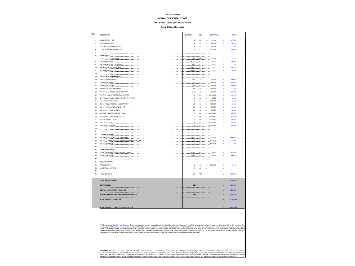## **Ducks Unlimited**

# **OPINION OF PROBABLE COST**

**M&T Ranch / Llano Seco Intake Project**

**Pump Station Relocation**

| <b>TEM</b>              | <b>DESCRIPTION</b>                              | QUANTITY             | UNIT                           | <b>UNIT PRICE</b>               | <b>TOTAL</b>            |
|-------------------------|-------------------------------------------------|----------------------|--------------------------------|---------------------------------|-------------------------|
| $\mathbf{1}$            |                                                 | . <b>1. .s</b>       |                                | \$ 475,000                      | \$1, 475,000            |
| $\overline{2}$          | <b>EROSION CONTROL</b>                          |                      | $\ldots$ LS $\ldots$           | $s = 20,000$                    | $$ 20,000$ .            |
| $\overline{\mathbf{3}}$ |                                                 |                      | $\overline{\mathcal{L}}$       | $s_{1}$ , 25,000,               | \$ 25,000.              |
| $\ddot{4}$              | COFFERDAM AND DEWATERING                        |                      | LS <sub>1</sub>                | \$. 800,000                     | s<br>800,000            |
| $\overline{6}$          |                                                 |                      |                                |                                 |                         |
| $\ddot{\mathbf{6}}$     | <b>EARTHWORK</b>                                |                      |                                |                                 |                         |
| $\overline{7}$          | SITE CLEARING AND PREP                          | $\ldots \ldots 10.5$ | ACRE                           | $s_{1.500.00}$                  | \$ 15.750               |
| 8                       | EXCAVATION SOIL                                 |                      |                                | 74,300 $CY$ $\frac{1}{3}$ 10.00 | \$743,000               |
| $\overline{9}$          | EXCAVATION- SOIL, IN-WATER                      | .540                 | $\ldots$ . $\alpha$ $\ldots$ . | $s_{\dots 25.99\dots\dots}$     | $$ \dots 13.500.$       |
| 10                      |                                                 |                      | 69,000 CY                      | $s$ 6.00                        | \$345,000               |
| 11                      | ACCESS ROAD                                     |                      | $11,000$ SF                    | \$ 5.00.                        | \$5.000                 |
| 12                      |                                                 |                      |                                |                                 |                         |
| 13                      | INTAKE AND PUMP STATION.                        |                      |                                |                                 |                         |
| 14                      |                                                 | 480                  | SF                             | \$1, 250.00                     | $s = 120,000$           |
| 15                      | CONCRETE, SLAB                                  |                      | $.270$ GY                      | s600.00                         | \$3.162,000.            |
| 16                      | CONCRETE, WALLS                                 | 312                  | $\ldots$ . $c_{Y}$             | $s = 900.00$ .                  | \$280,800               |
| 17                      |                                                 |                      |                                | $.94$ CY $.15$ 1.000.00.        | \$ 94,000               |
| 18                      | 72"-DIA REINFORCED CONCRETE PIPE                |                      | $345$ LF.                      | $s_{}$ 900.00.                  | \$310,500               |
| 19                      | 72"x72" STAINLESS STEEL SLUICE GATE             |                      | $\ldots$ EA $\ldots$           | \$25,000,00]                    | \$25,000                |
| 20                      | 1/4" ALUMNUM GRATING ON GATE STRUCTURE          |                      |                                | $.40$ SF $. 8 30.00$            | $s_{1}, \ldots, 1, 200$ |
| 21                      |                                                 |                      | $\ldots$ EA $\ldots$           | \$.6,000.00.                    | \$ 6,000                |
| $\overline{22}$         | 120"-DIA REINFORCED CONCRETE PIPE               |                      |                                |                                 | \$ 45,000               |
| 23                      | 48"-DIA PRECAST CONCRETE PIPE                   |                      | $\ldots$ LF $\ldots$           | $s_{1}$ 500.00.                 | \$11,000                |
| $^{24}$                 | 54"-DIA RCP PUMP BARREL                         | $\mathbf{Q}$         | $\ldots$ . LE $\ldots$         | $s$ 650.00.                     | $s$ , , 58,500          |
| 25                      | 1-STAGE VS VERT. TURBINE PUMPS.                 |                      | $\ldots$ EA $\ldots$           | \$ 200,000.00                   | \$ 600,000              |
| 26                      | 80" DOUBLE LEAF CHECK VALVE                     |                      | $\ldots$ FA $\ldots$           | 5.40,000.00.                    | $s$ , 120,000           |
| 27                      |                                                 |                      | . <del>. .</del>               | $$.20,000.00$                   | \$60,000                |
| 28                      | SITE ELECTRICAL                                 |                      | $\ldots$ LS $\ldots$           | \$.65,000,00                    | \$3.000                 |
| $^{29}$                 | <b>EXTERIOR BUILDING</b>                        |                      | LS <sub>1</sub>                | \$100,000.00                    | \$ 100,000              |
| 30 <sub>0</sub>         |                                                 |                      |                                |                                 |                         |
| 31                      |                                                 |                      |                                |                                 |                         |
| 32                      |                                                 |                      |                                | <b>Contract Contract</b>        |                         |
| 33                      |                                                 | 3,600                | LF                             | \$700.00                        | \$2,520,000             |
| 34                      |                                                 |                      | 1.1.54                         | $$.8,000.00$                    | $s$ 8,000               |
| 35                      | 72" BLIND FLANGE                                |                      | $E_A$                          | \$2,000.00                      | s.                      |
| 36                      |                                                 |                      |                                |                                 |                         |
| 37                      | <b>ROCK REVETMENT</b>                           |                      |                                |                                 |                         |
| 38                      | ROCK, DELIVERED TO SITE FROM QUARRY             | 14,400               | $\ldots$ TON.                  | \$3.29.00                       | \$ 417,600              |
| 39                      | ROCK.PLACEMENT                                  | $9,000$ $CY$ .       |                                | $$-.16.00$                      | $S = 144,000$           |
| 40                      |                                                 |                      |                                |                                 |                         |
| 41                      | <b>ENVIRONMENTAL</b>                            |                      |                                |                                 |                         |
| 42                      | <b>REVEGETATION</b>                             |                      | LS                             | \$.5, 150.00                    |                         |
| 43                      | MITIGATION, OFF. SITE.                          |                      | $\ldots$ $\mu$                 | 5.                              |                         |
| 44                      |                                                 |                      |                                |                                 |                         |
| 45                      | UNLISTED ITEMS.                                 |                      | PCT                            |                                 | $s = 1.080.000$         |
|                         |                                                 |                      |                                |                                 |                         |
|                         | SURTOTAL (ROUNDED)                              |                      |                                |                                 | 8.730.000               |
|                         |                                                 |                      |                                |                                 |                         |
|                         | CONTINGENCY                                     | 25                   |                                |                                 | 2.183,000               |
|                         | <b>FOTAL CONSTRUCTION YEAR 2008</b>             |                      |                                |                                 | 9,810,000               |
|                         |                                                 |                      |                                |                                 |                         |
|                         | <b>INGINEERING/CONSTRUCTION MGMT/PERMITTING</b> | 30%                  |                                |                                 | 2.940.000               |
|                         | TOTAL PROJECT YEAR 2008                         |                      |                                |                                 | 12.750,000              |
|                         |                                                 |                      |                                |                                 |                         |
|                         | TOTAL PROJECT YEAR Oct 2011 (ROUNDED)           |                      |                                |                                 |                         |

NAC International CASS (Cot Edentise - Class estimate are premient benefits that the main of the security in the security in the security in the security in the security of the security of the security of the security of t

MWN OPCD Beclaimer - The dien advowledge that MVH has no contact was the discussion of the discussion of provided in the discussion of provided informations, financial and/or market one of the market of the market and outs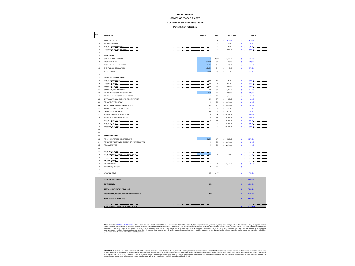### **Ducks Unlimited**

#### **OPINION OF PROBABLE COST**

**M&T Ranch / Llano Seco Intake Project**

**Pump Station Relocation**

| <b>TEM</b>              | <b>DESCRIPTION</b>                                                                                                                                                                                                                  | QUANTITY                   | UNIT                       | <b>UNIT PRICE</b>                                                                                                                             | <b>TOTAL</b>          |
|-------------------------|-------------------------------------------------------------------------------------------------------------------------------------------------------------------------------------------------------------------------------------|----------------------------|----------------------------|-----------------------------------------------------------------------------------------------------------------------------------------------|-----------------------|
| $\mathbf{1}$            |                                                                                                                                                                                                                                     |                            | $LS$                       | \$ 475,000                                                                                                                                    | \$475,000             |
| $\overline{2}$          | EROSION CONTROL PRODUCTION CONTROL CONTROL CONTROL CONTROL CONTROL                                                                                                                                                                  |                            |                            | $\begin{array}{ccc} \cdot & \cdot & \cdot & \cdot & \cdot \end{array}$ $\begin{array}{ccc} \cdot & \cdot & \cdot & \cdot & \cdot \end{array}$ | \$20,000              |
| $\overline{\mathbf{3}}$ | SITE ACCESS DEVELOPMENT                                                                                                                                                                                                             |                            | $\ldots$ $\mu$ S.          | \$25,000                                                                                                                                      | \$3.25,000.           |
| 4                       | COFFERDAM AND DEWATERING                                                                                                                                                                                                            |                            | . 48.                      | $$.800,000$                                                                                                                                   | \$ 800,000            |
| 6                       |                                                                                                                                                                                                                                     |                            |                            |                                                                                                                                               |                       |
| 6                       | EARTHWORK                                                                                                                                                                                                                           |                            |                            |                                                                                                                                               |                       |
| $\overline{7}$          |                                                                                                                                                                                                                                     |                            |                            | $\ldots$ , $z_5$ , $z_6$ , $z_7$ , $z_8$ , $z_{500.00}$ ,                                                                                     | \$ 11,250             |
| 8                       |                                                                                                                                                                                                                                     | 52,300                     | $\ldots$ CY, $\ldots$      | \$10.00                                                                                                                                       | \$ 523,000            |
| $\overline{9}$          |                                                                                                                                                                                                                                     |                            | <i>1.600</i> CX            | $\frac{1}{2}$ 25.00                                                                                                                           | \$3.140,000.          |
| 10                      | BACKFILL AND COMPACTION                                                                                                                                                                                                             | 48,100                     | $\ldots$ CY $\ldots$       |                                                                                                                                               | \$ 240,500            |
| 11                      | ACCESS ROAD CONTROL CONTROL CONTROL CONTROL CONTROL CONTROL CONTROL CONTROL CONTROL CONTROL CONTROL CONTROL CONTROL CONTROL CONTROL CONTROL CONTROL CONTROL CONTROL CONTROL CONTROL CONTROL CONTROL CONTROL CONTROL CONTROL CO      |                            | $7,000$ SF                 | \$ 500                                                                                                                                        | \$35,000              |
| 12                      |                                                                                                                                                                                                                                     |                            |                            |                                                                                                                                               |                       |
| 13                      | <b>INTAKE AND PUMP STATION</b>                                                                                                                                                                                                      |                            |                            |                                                                                                                                               |                       |
| 14                      |                                                                                                                                                                                                                                     |                            |                            | $$ 480 $$ SF $$ $ $ \$ $$ 250.00 $$                                                                                                           | \$ 120,000            |
| 15                      |                                                                                                                                                                                                                                     | 270                        | $\ldots$ CY $\ldots$       | \$.600,00.                                                                                                                                    | \$37.162,000          |
| 16                      | CONCRETE, WALLS                                                                                                                                                                                                                     |                            |                            | $\ldots \ldots \ldots$ and $\ldots$ ex Is  999.99                                                                                             | \$ 280,800.           |
| 17                      | CONCRETE, ELEVATED SLAB.                                                                                                                                                                                                            | 94                         | CY <sub>2</sub>            | \$.1.000.00                                                                                                                                   | \$ 94,000             |
| 18                      |                                                                                                                                                                                                                                     |                            | $.250$ $.05$ $.05$         | $\frac{1}{2}$ , 900.00                                                                                                                        | \$225,000             |
| 19                      | 72"x72" STANLESS STEEL SLUICE GATE                                                                                                                                                                                                  |                            | $\ldots$ EA $\ldots$       | \$.25.000.00.                                                                                                                                 | $$ \dots 25,000.$     |
| 20                      | 1/4" ALUMINUM GRATING ON GATE STRUCTURE                                                                                                                                                                                             | 40                         | $\ldots$ . SF. $\ldots$ .  | \$30.00                                                                                                                                       | \$ 1,200              |
| 21                      | 72"-120" EXPANSION PIPE                                                                                                                                                                                                             |                            |                            | $\left[ \ldots E_{A} \ldots \right]$ \$ 6.000.00                                                                                              | \$ 6,000              |
| $\mathbf{22}$<br>23     |                                                                                                                                                                                                                                     | $\overline{\mathcal{Z}}$   | $\ldots$ . $\mu$ F.        | \$.1500.00.<br>$\ldots$ 22. $\ldots$ <i>LF</i> . $\ldots$ <b>8.</b> 500.00                                                                    | \$45,000<br>\$ 11,000 |
| $^{24}$                 |                                                                                                                                                                                                                                     | $\mathbf{a}$               | . <b>LF</b> .              | \$650.00                                                                                                                                      | \$58,500              |
| 25                      |                                                                                                                                                                                                                                     |                            |                            | \$200.000.00                                                                                                                                  | $$ \dots $600,000$    |
| 26                      |                                                                                                                                                                                                                                     |                            | $\ldots$ EA $\ldots$       | \$.40,000.00.                                                                                                                                 | \$120,000             |
| 27                      |                                                                                                                                                                                                                                     |                            | EA 6                       | $$20,000.00$                                                                                                                                  | \$ 60,000             |
| 28                      |                                                                                                                                                                                                                                     |                            |                            | $\left[ \ldots \ldots \right]$ , $\left[ 1, 0.000, 0.000, \ldots \right]$                                                                     | \$3.000               |
| 29                      | EXTERIOR BUILDING                                                                                                                                                                                                                   |                            | . 45.                      | \$100.000.00                                                                                                                                  | \$ 100,000            |
| 30                      |                                                                                                                                                                                                                                     |                            |                            |                                                                                                                                               |                       |
| 31                      |                                                                                                                                                                                                                                     |                            |                            |                                                                                                                                               |                       |
| 32                      |                                                                                                                                                                                                                                     |                            |                            |                                                                                                                                               |                       |
| 33                      |                                                                                                                                                                                                                                     | 2.200                      | LF                         | \$700.00                                                                                                                                      | \$1,540,000           |
| 34                      | 72" TEE CONNECTION TO EXISTING TRANSMISSION PIPE                                                                                                                                                                                    |                            | $E = E$                    | \$. 8.000.00                                                                                                                                  | \$ 8,000              |
| $36\,$                  | 72" BLIND FLANGE                                                                                                                                                                                                                    |                            |                            | \$.2.000.00                                                                                                                                   | \$3.1.1.4.000         |
| 36                      |                                                                                                                                                                                                                                     |                            |                            |                                                                                                                                               |                       |
| 37                      | ROCK REVETMENT <b>A</b> contract the contract of the contract of the contract of the contract of the contract of the contract of the contract of the contract of the contract of the contract of the contract of the contract of th |                            |                            |                                                                                                                                               |                       |
| 38                      | ROCK, REMOVAL OF EXISTING REVETMENT.                                                                                                                                                                                                | .475                       | $\ldots$ CY. $\ldots$      | \$16,00                                                                                                                                       |                       |
| 39                      |                                                                                                                                                                                                                                     |                            |                            |                                                                                                                                               |                       |
| 40<br>41                | <b>ENVIRONMENTAL</b>                                                                                                                                                                                                                |                            |                            |                                                                                                                                               |                       |
| 42                      | REVEGETATION                                                                                                                                                                                                                        |                            | $\ldots$ $\mu$ S. $\ldots$ | \$.5.150.00                                                                                                                                   | $s = 61$              |
| 43                      | MITIGATION, OFF SITE                                                                                                                                                                                                                |                            | $1.1.14$ $4.5.1.1.1$       | $\frac{1}{2}$                                                                                                                                 | $\mathsf{s}$ .        |
| 44                      |                                                                                                                                                                                                                                     | 1.1.1.1.1.1.16.1.1.007.1.1 |                            |                                                                                                                                               | \$3780,000            |
|                         |                                                                                                                                                                                                                                     |                            |                            |                                                                                                                                               |                       |
|                         | <b>SUBTOTAL (ROUNDED)</b>                                                                                                                                                                                                           |                            |                            |                                                                                                                                               | 6,488,000             |
|                         | CONTINGENCY                                                                                                                                                                                                                         | 25%                        |                            |                                                                                                                                               | 1.622.000             |
|                         | .<br>TOTAL CONSTRUCTION YEAR 2008                                                                                                                                                                                                   |                            |                            |                                                                                                                                               | 7.268.000             |
|                         | ENGINEERING/CONSTRUCTION MGMT/PERMITTING                                                                                                                                                                                            | 30%                        |                            |                                                                                                                                               | .<br>2.180.000        |
|                         |                                                                                                                                                                                                                                     |                            |                            |                                                                                                                                               |                       |
|                         | <b>FOTAL PROJECT YEAR 2008</b>                                                                                                                                                                                                      |                            |                            |                                                                                                                                               | 9.448.000             |
|                         |                                                                                                                                                                                                                                     |                            |                            |                                                                                                                                               |                       |
|                         | TOTAL PROJECT YEAR Oct 2011 (ROUNDED)                                                                                                                                                                                               |                            |                            |                                                                                                                                               | 10,100.0              |
|                         |                                                                                                                                                                                                                                     |                            |                            |                                                                                                                                               |                       |

NAC Hermatoni CLASS (Cos Elismia: - Oast éstimission and prevailed and the formation and taking the film of the formation of the film of the film of the film of the security and the film of the film of the film of the film

aWW OPCD blacklamer-The dent acknowledge that Milwi has no corrected and the marketing of the market membershall and the market membershall and the market market market constructions in the market of the market and the mar